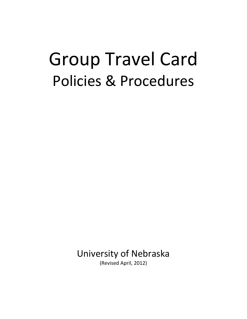# Group Travel Card Policies & Procedures

University of Nebraska

(Revised April, 2012)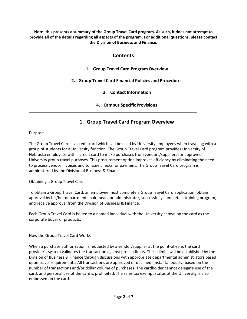**Note: this presents a summary of the Group Travel Card program. As such, it does not attempt to provide all of the details regarding all aspects of the program. For additional questions, please contact the Division of Business and Finance.** 

# **Contents**

- **1. Group Travel Card Program Overview**
- **2. Group Travel Card Financial Policies and Procedures** 
	- **3. Contact Information**
	- **4. Campus Specific Provisions**

# **1. Group Travel Card Program Overview**

# Purpose

The Group Travel Card is a credit card which can be used by University employees when traveling with a group of students for a University function. The Group Travel Card program provides University of Nebraska employees with a credit card to make purchases from vendors/suppliers for approved University group travel purposes. This procurement option improves efficiency by eliminating the need to process vendor invoices and to issue checks for payment. The Group Travel Card program is administered by the Division of Business & Finance.

# Obtaining a Group Travel Card

To obtain a Group Travel Card, an employee must complete a Group Travel Card application, obtain approval by his/her department chair, head, or administrator, successfully complete a training program, and receive approval from the Division of Business & Finance.

Each Group Travel Card is issued to a named individual with the University shown on the card as the corporate buyer of products.

# How the Group Travel Card Works

When a purchase authorization is requested by a vendor/supplier at the point-of-sale, the card provider's system validates the transaction against pre‐set limits. These limits will be established by the Division of Business & Finance through discussions with appropriate departmental administrators based upon travel requirements. All transactions are approved or declined (instantaneously) based on the number of transactions and/or dollar volume of purchases. The cardholder cannot delegate use of the card, and personal use of the card is prohibited. The sales tax exempt status of the University is also embossed on the card.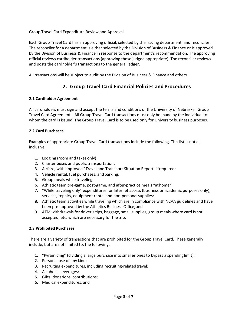Group Travel Card Expenditure Review and Approval

Each Group Travel Card has an approving official, selected by the issuing department, and reconciler. The reconciler for a department is either selected by the Division of Business & Finance or is approved by the Division of Business & Finance in response to the department's recommendation. The approving official reviews cardholder transactions (approving those judged appropriate). The reconciler reviews and posts the cardholder's transactions to the general ledger.

All transactions will be subject to audit by the Division of Business & Finance and others.

# **2. Group Travel Card Financial Policies and Procedures**

# **2.1 Cardholder Agreement**

All cardholders must sign and accept the terms and conditions of the University of Nebraska "Group Travel Card Agreement." All Group Travel Card transactions must only be made by the individual to whom the card is issued. The Group Travel Card is to be used only for University business purposes.

### **2.2 Card Purchases**

Examples of appropriate Group Travel Card transactions include the following. This list is not all inclusive.

- 1. Lodging (room and taxes only);
- 2. Charter buses and public transportation;
- 3. Airfare, with approved "Travel and Transport Situation Report" if required;
- 4. Vehicle rental, fuel purchases, and parking;
- 5. Group meals while traveling;
- 6. Athletic team pre-game, post-game, and after-practice meals "at home";
- 7. "While traveling only" expenditures for Internet access (business or academic purposes only), services, repairs, equipment rental and non-personal supplies;
- 8. Athletic team activities while traveling which are in compliance with NCAA guidelines and have been pre‐approved by the Athletics Business Office; and
- 9. ATM withdrawals for driver's tips, baggage, small supplies, group meals where card is not accepted, etc. which are necessary for the trip.

#### **2.3 Prohibited Purchases**

There are a variety of transactions that are prohibited for the Group Travel Card. These generally include, but are not limited to, the following:

- 1. "Pyramiding" (dividing a large purchase into smaller ones to bypass a spending limit);
- 2. Personal use of any kind;
- 3. Recruiting expenditures, including recruiting-related travel;
- 4. Alcoholic beverages;
- 5. Gifts, donations, contributions;
- 6. Medical expenditures; and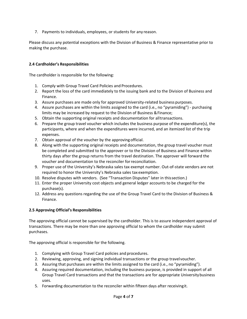7. Payments to individuals, employees, or students for any reason.

Please discuss any potential exceptions with the Division of Business & Finance representative prior to making the purchase.

# **2.4 Cardholder's Responsibilities**

The cardholder is responsible for the following:

- 1. Comply with Group Travel Card Policies and Procedures.
- 2. Report the loss of the card immediately to the issuing bank and to the Division of Business and Finance.
- 3. Assure purchases are made only for approved University‐related business purposes.
- 4. Assure purchases are within the limits assigned to the card (i.e., no "pyramiding") ‐ purchasing limits may be increased by request to the Division of Business & Finance;
- 5. Obtain the supporting original receipts and documentation for all transactions.
- 6. Prepare the group travel voucher which includes the business purpose of the expenditure(s), the participants, where and when the expenditures were incurred, and an itemized list of the trip expenses.
- 7. Obtain approval of the voucher by the approving official.
- 8. Along with the supporting original receipts and documentation, the group travel voucher must be completed and submitted to the approver or to the Division of Business and Finance within thirty days after the group returns from the travel destination. The approver will forward the voucher and documentation to the reconciler for reconciliation.
- 9. Proper use of the University's Nebraska sales tax exempt number. Out‐of‐state vendors are not required to honor the University's Nebraska sales tax exemption.
- 10. Resolve disputes with vendors. (See "Transaction Disputes" later in this section.)
- 11. Enter the proper University cost objects and general ledger accounts to be charged for the purchase(s).
- 12. Address any questions regarding the use of the Group Travel Card to the Division of Business & Finance.

# **2.5 Approving Official's Responsibilities**

The approving official cannot be supervised by the cardholder. This is to assure independent approval of transactions. There may be more than one approving official to whom the cardholder may submit purchases.

The approving official is responsible for the following.

- 1. Complying with Group Travel Card policies and procedures.
- 2. Reviewing, approving, and signing individual transactions or the group travel voucher.
- 3. Assuring that purchases are within the limits assigned to the card (i.e., no "pyramiding").
- 4. Assuring required documentation, including the business purpose, is provided in support of all Group Travel Card transactions and that the transactions are for appropriate University business uses.
- 5. Forwarding documentation to the reconciler within fifteen days after receiving it.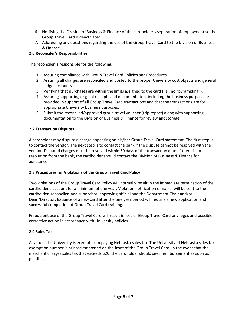- 6. Notifying the Division of Business & Finance of the cardholder's separation of employment so the Group Travel Card is deactivated.
- 7. Addressing any questions regarding the use of the Group Travel Card to the Division of Business & Finance.

# **2.6 Reconciler's Responsibilities**

The reconciler is responsible for the following.

- 1. Assuring compliance with Group Travel Card Policies and Procedures.
- 2. Assuring all charges are reconciled and posted to the proper University cost objects and general ledger accounts.
- 3. Verifying that purchases are within the limits assigned to the card (i.e., no "pyramiding").
- 4. Assuring supporting original receipts and documentation, including the business purpose, are provided in support of all Group Travel Card transactions and that the transactions are for appropriate University business purposes.
- 5. Submit the reconciled/approved group travel voucher (trip report) along with supporting documentation to the Division of Business & Finance for review and storage.

# **2.7 Transaction Disputes**

A cardholder may dispute a charge appearing on his/her Group Travel Card statement. The first step is to contact the vendor. The next step is to contact the bank if the dispute cannot be resolved with the vendor. Disputed charges must be resolved within 60 days of the transaction date. If there is no resolution from the bank, the cardholder should contact the Division of Business & Finance for assistance.

# **2.8 Procedures for Violations of the Group Travel Card Policy**

Two violations of the Group Travel Card Policy will normally result in the immediate termination of the cardholder's account for a minimum of one year. Violation notification e‐mail(s) will be sent to the cardholder, reconciler, and supervisor, approving official and the Department Chair and/or Dean/Director. Issuance of a new card after the one year period will require a new application and successful completion of Group Travel Card training.

Fraudulent use of the Group Travel Card will result in loss of Group Travel Card privileges and possible corrective action in accordance with University policies.

# **2.9 Sales Tax**

As a rule, the University is exempt from paying Nebraska sales tax. The University of Nebraska sales tax exemption number is printed embossed on the front of the Group Travel Card. In the event that the merchant charges sales tax that exceeds \$20, the cardholder should seek reimbursement as soon as possible.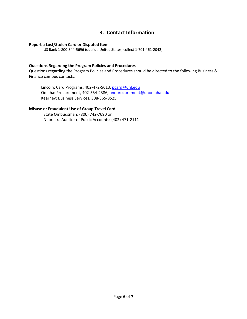# **3. Contact Information**

#### **Report a Lost/Stolen Card or Disputed Item**

US Bank 1‐800‐344‐5696 (outside United States, collect 1‐701‐461‐2042)

#### **Questions Regarding the Program Policies and Procedures**

Questions regarding the Program Policies and Procedures should be directed to the following Business & Finance campus contacts:

Lincoln: Card Programs, 402-472-5613, pcard@unl.edu Omaha: Procurement, 402‐554‐2386, unoprocurement@unomaha.edu Kearney: Business Services, 308‐865‐8525

# **Misuse or Fraudulent Use of Group Travel Card**

State Ombudsman: (800) 742‐7690 or Nebraska Auditor of Public Accounts: (402) 471‐2111